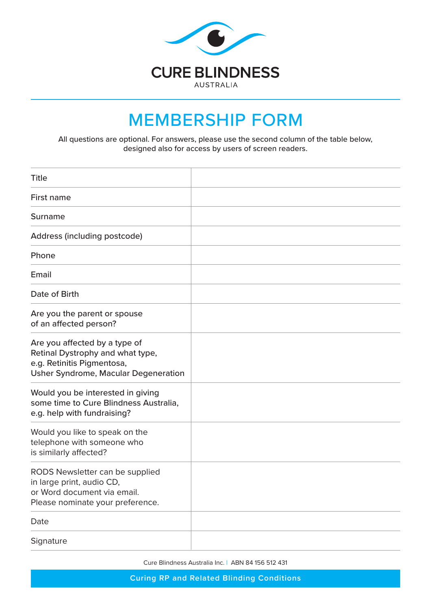

# MEMBERSHIP FORM

All questions are optional. For answers, please use the second column of the table below, designed also for access by users of screen readers.

| <b>Title</b>                                                                                                                                   |  |
|------------------------------------------------------------------------------------------------------------------------------------------------|--|
| <b>First name</b>                                                                                                                              |  |
| <b>Surname</b>                                                                                                                                 |  |
| Address (including postcode)                                                                                                                   |  |
| Phone                                                                                                                                          |  |
| Email                                                                                                                                          |  |
| Date of Birth                                                                                                                                  |  |
| Are you the parent or spouse<br>of an affected person?                                                                                         |  |
| Are you affected by a type of<br>Retinal Dystrophy and what type,<br>e.g. Retinitis Pigmentosa,<br><b>Usher Syndrome, Macular Degeneration</b> |  |
| Would you be interested in giving<br>some time to Cure Blindness Australia,<br>e.g. help with fundraising?                                     |  |
| Would you like to speak on the<br>telephone with someone who<br>is similarly affected?                                                         |  |
| RODS Newsletter can be supplied<br>in large print, audio CD,<br>or Word document via email.<br>Please nominate your preference.                |  |
| Date                                                                                                                                           |  |
| Signature                                                                                                                                      |  |

Cure Blindness Australia Inc. | ABN 84 156 512 431